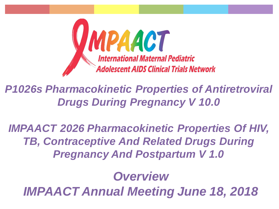

*P1026s Pharmacokinetic Properties of Antiretroviral Drugs During Pregnancy V 10.0* 

*IMPAACT 2026 Pharmacokinetic Properties Of HIV, TB, Contraceptive And Related Drugs During Pregnancy And Postpartum V 1.0*

### *Overview*

*IMPAACT Annual Meeting June 18, 2018*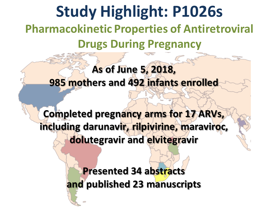# **Study Highlight: P1026s Pharmacokinetic Properties of Antiretroviral Drugs During Pregnancy**

#### **As of June 5, 2018, 985 mothers and 492 infants enrolled**

**Completed pregnancy arms for 17 ARVs, including darunavir, rilpivirine, maraviroc, dolutegravir and elvitegravir**

> **Presented 34 abstracts and published 23 manuscripts**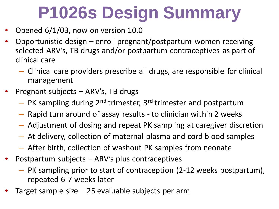# **P1026s Design Summary**

- Opened 6/1/03, now on version 10.0
- Opportunistic design enroll pregnant/postpartum women receiving selected ARV's, TB drugs and/or postpartum contraceptives as part of clinical care
	- Clinical care providers prescribe all drugs, are responsible for clinical management
- Pregnant subjects ARV's, TB drugs
	- $-$  PK sampling during  $2^{nd}$  trimester, 3<sup>rd</sup> trimester and postpartum
	- Rapid turn around of assay results to clinician within 2 weeks
	- Adjustment of dosing and repeat PK sampling at caregiver discretion
	- At delivery, collection of maternal plasma and cord blood samples
	- After birth, collection of washout PK samples from neonate
- Postpartum subjects  $-$  ARV's plus contraceptives
	- PK sampling prior to start of contraception (2-12 weeks postpartum), repeated 6-7 weeks later
- Target sample size  $-25$  evaluable subjects per arm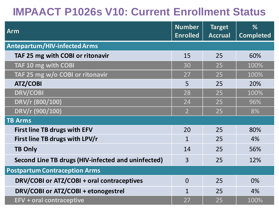### **IMPAACT P1026s V10: Current Enrollment Status**

| <b>Arm</b>                                         | <b>Number</b><br><b>Enrolled</b> | <b>Target</b><br><b>Accrual</b> | %<br><b>Completed</b> |
|----------------------------------------------------|----------------------------------|---------------------------------|-----------------------|
| <b>Antepartum/HIV-infected Arms</b>                |                                  |                                 |                       |
| TAF 25 mg with COBI or ritonavir                   | 15                               | 25                              | 60%                   |
| TAF 10 mg with COBI                                | 30                               | 25                              | 100%                  |
| TAF 25 mg w/o COBI or ritonavir                    | 27                               | 25                              | 100%                  |
| <b>ATZ/COBI</b>                                    | 5                                | 25                              | 20%                   |
| <b>DRV/COBI</b>                                    | 28                               | 25                              | 100%                  |
| DRV/r (800/100)                                    | 24                               | 25                              | 96%                   |
| DRV/r (900/100)                                    | $\overline{2}$                   | 25                              | 8%                    |
| <b>TB Arms</b>                                     |                                  |                                 |                       |
| <b>First line TB drugs with EFV</b>                | 20                               | 25                              | 80%                   |
| First line TB drugs with LPV/r                     | $\mathbf{1}$                     | 25                              | 4%                    |
| <b>TB Only</b>                                     | 14                               | 25                              | 56%                   |
| Second Line TB drugs (HIV-infected and uninfected) | 3                                | 25                              | 12%                   |
| <b>Postpartum Contraception Arms</b>               |                                  |                                 |                       |
| DRV/COBI or ATZ/COBI + oral contraceptives         | $\Omega$                         | 25                              | 0%                    |
| DRV/COBI or ATZ/COBI + etonogestrel                | $\mathbf{1}$                     | 25                              | 4%                    |
| <b>EFV + oral contraceptive</b>                    | 27                               | 25                              | 100%                  |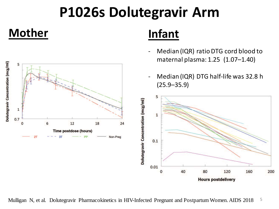## **P1026s Dolutegravir Arm**

#### **Mother Infant**



- Median (IQR) ratio DTG cord blood to maternal plasma: 1.25 (1.07–1.40)
- Median (IQR) DTG half-life was 32.8 h (25.9–35.9)



5 Mulligan N, et al. Dolutegravir Pharmacokinetics in HIV-Infected Pregnant and Postpartum Women. AIDS 2018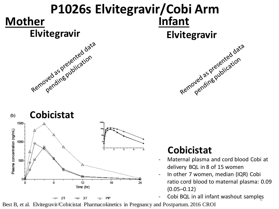# **Mother Infant** Elvitegravir<br>Removed as presented data **P1026s Elvitegravir/Cobi Arm** Elvitegravir<br>Elvitegravire<br>Removed as presentication



#### **Cobicistat**

- Maternal plasma and cord blood Cobi at delivery BQL in 8 of 15 women
- In other 7 women, median (IQR) Cobi ratio cord blood to maternal plasma: 0.09  $(0.05 - 0.12)$
- Cobi BQL in all infant washout samples

Best B, et al. Elvitegravir/Cobicistat Pharmacokinetics in Pregnancy and Postpartum. 2016 CROI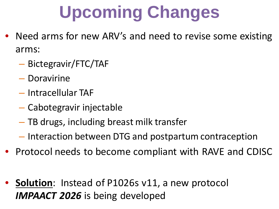# **Upcoming Changes**

- Need arms for new ARV's and need to revise some existing arms:
	- Bictegravir/FTC/TAF
	- Doravirine
	- Intracellular TAF
	- Cabotegravir injectable
	- TB drugs, including breast milk transfer
	- Interaction between DTG and postpartum contraception
- Protocol needs to become compliant with RAVE and CDISC
- **Solution**: Instead of P1026s v11, a new protocol *IMPAACT 2026* is being developed